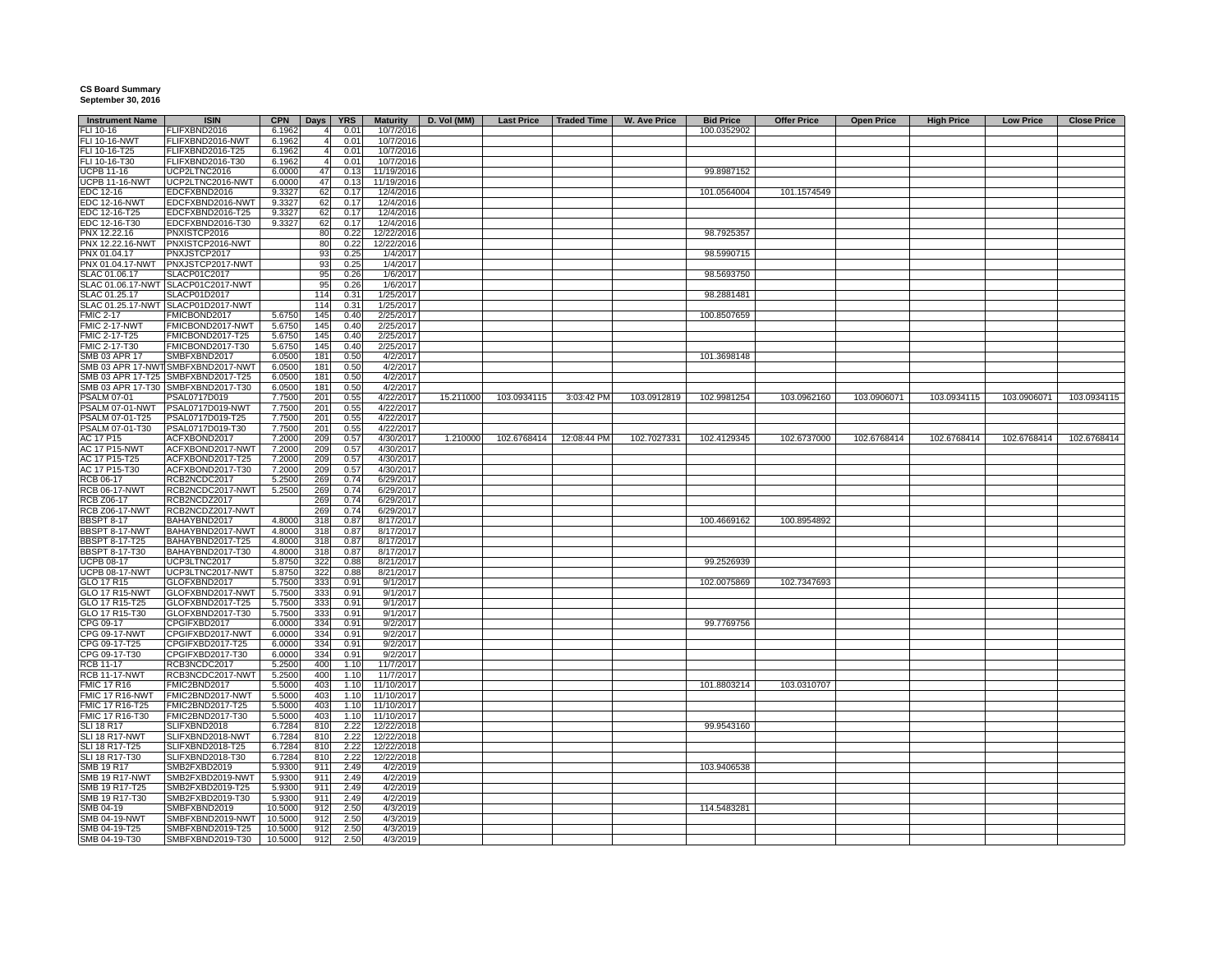## **CS Board Summary September 30, 2016**

| <b>Instrument Name</b> | <b>ISIN</b>                        | <b>CPN</b> | Days           | <b>YRS</b> | <b>Maturity</b> | D. Vol (MM) | <b>Last Price</b> | Traded Time | <b>W. Ave Price</b> | <b>Bid Price</b> | <b>Offer Price</b> | <b>Open Price</b> | <b>High Price</b> | <b>Low Price</b> | <b>Close Price</b> |
|------------------------|------------------------------------|------------|----------------|------------|-----------------|-------------|-------------------|-------------|---------------------|------------------|--------------------|-------------------|-------------------|------------------|--------------------|
| FLI 10-16              | FLIFXBND2016                       | 6.1962     | $\overline{4}$ | 0.01       | 10/7/2016       |             |                   |             |                     | 100.0352902      |                    |                   |                   |                  |                    |
| FLI 10-16-NWT          | FLIFXBND2016-NWT                   | 6.1962     | $\overline{4}$ | 0.01       | 10/7/2016       |             |                   |             |                     |                  |                    |                   |                   |                  |                    |
| FLI 10-16-T25          | FLIFXBND2016-T25                   | 6.1962     | $\overline{4}$ | 0.01       | 10/7/2016       |             |                   |             |                     |                  |                    |                   |                   |                  |                    |
| FLI 10-16-T30          | FLIFXBND2016-T30                   | 6.1962     |                | 0.01       | 10/7/2016       |             |                   |             |                     |                  |                    |                   |                   |                  |                    |
| <b>UCPB 11-16</b>      | UCP2LTNC2016                       | 6.0000     | 47             | 0.13       | 11/19/2016      |             |                   |             |                     | 99.8987152       |                    |                   |                   |                  |                    |
| <b>UCPB 11-16-NWT</b>  | UCP2LTNC2016-NWT                   | 6.0000     | 47             | 0.13       | 11/19/2016      |             |                   |             |                     |                  |                    |                   |                   |                  |                    |
| EDC 12-16              | EDCFXBND2016                       |            |                |            |                 |             |                   |             |                     | 101.0564004      |                    |                   |                   |                  |                    |
|                        |                                    | 9.3327     | 62             | 0.17       | 12/4/2016       |             |                   |             |                     |                  | 101.1574549        |                   |                   |                  |                    |
| <b>EDC 12-16-NWT</b>   | EDCFXBND2016-NWT                   | 9.3327     | 62             | 0.17       | 12/4/2016       |             |                   |             |                     |                  |                    |                   |                   |                  |                    |
| EDC 12-16-T25          | EDCFXBND2016-T25                   | 9.3327     | 62             | 0.17       | 12/4/2016       |             |                   |             |                     |                  |                    |                   |                   |                  |                    |
| EDC 12-16-T30          | EDCFXBND2016-T30                   | 9.3327     | 62             | 0.17       | 12/4/2016       |             |                   |             |                     |                  |                    |                   |                   |                  |                    |
| PNX 12.22.16           | PNXISTCP2016                       |            | 80             | 0.22       | 12/22/2016      |             |                   |             |                     | 98.7925357       |                    |                   |                   |                  |                    |
| PNX 12.22.16-NWT       | PNXISTCP2016-NWT                   |            | 80             | 0.22       | 12/22/2016      |             |                   |             |                     |                  |                    |                   |                   |                  |                    |
| PNX 01.04.17           | PNXJSTCP2017                       |            | 93             | 0.25       | 1/4/2017        |             |                   |             |                     | 98.5990715       |                    |                   |                   |                  |                    |
| PNX 01.04.17-NWT       | PNXJSTCP2017-NWT                   |            | 93             | 0.25       | 1/4/2017        |             |                   |             |                     |                  |                    |                   |                   |                  |                    |
| SLAC 01.06.17          | SLACP01C2017                       |            | 95             | 0.26       | 1/6/2017        |             |                   |             |                     | 98.5693750       |                    |                   |                   |                  |                    |
|                        | SLAC 01.06.17-NWT SLACP01C2017-NWT |            | 95             | 0.26       | 1/6/2017        |             |                   |             |                     |                  |                    |                   |                   |                  |                    |
| SLAC 01.25.17          | SLACP01D2017                       |            | 114            | 0.31       | 1/25/2017       |             |                   |             |                     | 98.2881481       |                    |                   |                   |                  |                    |
|                        | SLAC 01.25.17-NWT SLACP01D2017-NWT |            | 114            | 0.31       | 1/25/2017       |             |                   |             |                     |                  |                    |                   |                   |                  |                    |
| <b>FMIC 2-17</b>       | FMICBOND2017                       | 5.6750     | 145            | 0.40       | 2/25/2017       |             |                   |             |                     | 100.8507659      |                    |                   |                   |                  |                    |
| FMIC 2-17-NWT          | FMICBOND2017-NWT                   | 5.6750     | 145            | 0.40       | 2/25/2017       |             |                   |             |                     |                  |                    |                   |                   |                  |                    |
|                        |                                    |            |                |            |                 |             |                   |             |                     |                  |                    |                   |                   |                  |                    |
| FMIC 2-17-T25          | FMICBOND2017-T25                   | 5.6750     | 145            | 0.40       | 2/25/2017       |             |                   |             |                     |                  |                    |                   |                   |                  |                    |
| FMIC 2-17-T30          | FMICBOND2017-T30                   | 5.6750     | 145            | 0.40       | 2/25/2017       |             |                   |             |                     |                  |                    |                   |                   |                  |                    |
| SMB 03 APR 17          | SMBFXBND2017                       | 6.0500     | 181            | 0.50       | 4/2/2017        |             |                   |             |                     | 101.3698148      |                    |                   |                   |                  |                    |
|                        | SMB 03 APR 17-NWT SMBFXBND2017-NWT | 6.0500     | 181            | 0.50       | 4/2/2017        |             |                   |             |                     |                  |                    |                   |                   |                  |                    |
|                        | SMB 03 APR 17-T25 SMBFXBND2017-T25 | 6.0500     | 181            | 0.50       | 4/2/2017        |             |                   |             |                     |                  |                    |                   |                   |                  |                    |
|                        | SMB 03 APR 17-T30 SMBFXBND2017-T30 | 6.0500     | 181            | 0.50       | 4/2/2017        |             |                   |             |                     |                  |                    |                   |                   |                  |                    |
| <b>PSALM 07-01</b>     | PSAL0717D019                       | 7.7500     | 201            | 0.55       | 4/22/2017       | 15.211000   | 103.0934115       | 3:03:42 PM  | 103.0912819         | 102.9981254      | 103.0962160        | 103.0906071       | 103.0934115       | 103.0906071      | 103.0934115        |
| PSALM 07-01-NWT        | PSAL0717D019-NWT                   | 7.7500     | 201            | 0.55       | 4/22/2017       |             |                   |             |                     |                  |                    |                   |                   |                  |                    |
| PSALM 07-01-T25        | PSAL0717D019-T25                   | 7.7500     | 201            | 0.55       | 4/22/2017       |             |                   |             |                     |                  |                    |                   |                   |                  |                    |
| PSALM 07-01-T30        | PSAL0717D019-T30                   | 7.7500     | 201            | 0.55       | 4/22/2017       |             |                   |             |                     |                  |                    |                   |                   |                  |                    |
|                        |                                    |            |                | 0.57       |                 | 1.210000    | 102.6768414       | 12:08:44 PM | 102.7027331         | 102.4129345      | 102.6737000        | 102.6768414       | 102.6768414       | 102.6768414      | 102.6768414        |
| AC 17 P15              | ACFXBOND2017                       | 7.2000     | 209            |            | 4/30/2017       |             |                   |             |                     |                  |                    |                   |                   |                  |                    |
| AC 17 P15-NWT          | ACFXBOND2017-NWT                   | 7.2000     | 209            | 0.57       | 4/30/2017       |             |                   |             |                     |                  |                    |                   |                   |                  |                    |
| AC 17 P15-T25          | ACFXBOND2017-T25                   | 7.2000     | 209            | 0.57       | 4/30/2017       |             |                   |             |                     |                  |                    |                   |                   |                  |                    |
| AC 17 P15-T30          | ACFXBOND2017-T30                   | 7.2000     | 209            | 0.57       | 4/30/2017       |             |                   |             |                     |                  |                    |                   |                   |                  |                    |
| RCB 06-17              | RCB2NCDC2017                       | 5.2500     | 269            | 0.74       | 6/29/2017       |             |                   |             |                     |                  |                    |                   |                   |                  |                    |
| <b>RCB 06-17-NWT</b>   | RCB2NCDC2017-NWT                   | 5.2500     | 269            | 0.74       | 6/29/2017       |             |                   |             |                     |                  |                    |                   |                   |                  |                    |
| <b>RCB Z06-17</b>      | RCB2NCDZ2017                       |            | 269            | 0.74       | 6/29/2017       |             |                   |             |                     |                  |                    |                   |                   |                  |                    |
| <b>RCB Z06-17-NWT</b>  | RCB2NCDZ2017-NWT                   |            | 269            | 0.74       | 6/29/2017       |             |                   |             |                     |                  |                    |                   |                   |                  |                    |
| <b>BBSPT 8-17</b>      | BAHAYBND2017                       | 4.8000     | 318            | 0.87       | 8/17/2017       |             |                   |             |                     | 100.4669162      | 100.8954892        |                   |                   |                  |                    |
| BBSPT 8-17-NWT         | BAHAYBND2017-NWT                   | 4.8000     | 318            | 0.87       | 8/17/2017       |             |                   |             |                     |                  |                    |                   |                   |                  |                    |
| BBSPT 8-17-T25         | BAHAYBND2017-T25                   | 4.8000     | 318            | 0.87       | 8/17/2017       |             |                   |             |                     |                  |                    |                   |                   |                  |                    |
| <b>BBSPT 8-17-T30</b>  | BAHAYBND2017-T30                   | 4.8000     | 318            | 0.87       | 8/17/2017       |             |                   |             |                     |                  |                    |                   |                   |                  |                    |
|                        |                                    |            |                |            |                 |             |                   |             |                     |                  |                    |                   |                   |                  |                    |
| <b>UCPB 08-17</b>      | UCP3LTNC2017                       | 5.8750     | 322            | 0.88       | 8/21/2017       |             |                   |             |                     | 99.2526939       |                    |                   |                   |                  |                    |
| <b>UCPB 08-17-NWT</b>  | UCP3LTNC2017-NWT                   | 5.8750     | 322            | 0.88       | 8/21/2017       |             |                   |             |                     |                  |                    |                   |                   |                  |                    |
| GLO 17 R15             | GLOFXBND2017                       | 5.7500     | 333            | 0.91       | 9/1/2017        |             |                   |             |                     | 102.0075869      | 102.7347693        |                   |                   |                  |                    |
| <b>GLO 17 R15-NWT</b>  | GLOFXBND2017-NWT                   | 5.7500     | 333            | 0.91       | 9/1/2017        |             |                   |             |                     |                  |                    |                   |                   |                  |                    |
| GLO 17 R15-T25         | GLOFXBND2017-T25                   | 5.7500     | 333            | 0.91       | 9/1/2017        |             |                   |             |                     |                  |                    |                   |                   |                  |                    |
| GLO 17 R15-T30         | GLOFXBND2017-T30                   | 5.7500     | 333            | 0.91       | 9/1/2017        |             |                   |             |                     |                  |                    |                   |                   |                  |                    |
| CPG 09-17              | CPGIFXBD2017                       | 6.0000     | 334            | 0.91       | 9/2/2017        |             |                   |             |                     | 99.7769756       |                    |                   |                   |                  |                    |
| CPG 09-17-NWT          | CPGIFXBD2017-NWT                   | 6.0000     | 334            | 0.91       | 9/2/2017        |             |                   |             |                     |                  |                    |                   |                   |                  |                    |
| CPG 09-17-T25          | CPGIFXBD2017-T25                   | 6.0000     | 334            | 0.91       | 9/2/2017        |             |                   |             |                     |                  |                    |                   |                   |                  |                    |
| CPG 09-17-T30          | CPGIFXBD2017-T30                   | 6.0000     | 334            | 0.91       | 9/2/2017        |             |                   |             |                     |                  |                    |                   |                   |                  |                    |
| <b>RCB 11-17</b>       | RCB3NCDC2017                       | 5.2500     | 400            | 1.10       | 11/7/2017       |             |                   |             |                     |                  |                    |                   |                   |                  |                    |
| <b>RCB 11-17-NWT</b>   | RCB3NCDC2017-NWT                   | 5.2500     | 400            | 1.10       | 11/7/2017       |             |                   |             |                     |                  |                    |                   |                   |                  |                    |
|                        |                                    |            |                |            |                 |             |                   |             |                     |                  |                    |                   |                   |                  |                    |
| <b>FMIC 17 R16</b>     | FMIC2BND2017                       | 5.5000     | 403            | 1.10       | 11/10/2017      |             |                   |             |                     | 101.8803214      | 103.0310707        |                   |                   |                  |                    |
| FMIC 17 R16-NWT        | FMIC2BND2017-NWT                   | 5.5000     | 403            | 1.10       | 11/10/2017      |             |                   |             |                     |                  |                    |                   |                   |                  |                    |
| FMIC 17 R16-T25        | FMIC2BND2017-T25                   | 5.5000     | 403            | 1.10       | 11/10/2017      |             |                   |             |                     |                  |                    |                   |                   |                  |                    |
| FMIC 17 R16-T30        | FMIC2BND2017-T30                   | 5.5000     | 403            | 1.10       | 11/10/2017      |             |                   |             |                     |                  |                    |                   |                   |                  |                    |
| <b>SLI 18 R17</b>      | SLIFXBND2018                       | 6.7284     | 810            | 2.22       | 12/22/2018      |             |                   |             |                     | 99.9543160       |                    |                   |                   |                  |                    |
| SLI 18 R17-NWT         | SLIFXBND2018-NWT                   | 6.7284     | 810            | 2.22       | 12/22/2018      |             |                   |             |                     |                  |                    |                   |                   |                  |                    |
| SLI 18 R17-T25         | SLIFXBND2018-T25                   | 6.7284     | 810            | 2.22       | 12/22/2018      |             |                   |             |                     |                  |                    |                   |                   |                  |                    |
| SLI 18 R17-T30         | SLIFXBND2018-T30                   | 6.7284     | 810            | 2.22       | 12/22/2018      |             |                   |             |                     |                  |                    |                   |                   |                  |                    |
| SMB 19 R17             | SMB2FXBD2019                       | 5.9300     | 911            | 2.49       | 4/2/2019        |             |                   |             |                     | 103.9406538      |                    |                   |                   |                  |                    |
| <b>SMB 19 R17-NWT</b>  | SMB2FXBD2019-NWT                   | 5.9300     | 911            | 2.49       | 4/2/2019        |             |                   |             |                     |                  |                    |                   |                   |                  |                    |
| SMB 19 R17-T25         | SMB2FXBD2019-T25                   | 5.9300     | 911            | 2.49       | 4/2/2019        |             |                   |             |                     |                  |                    |                   |                   |                  |                    |
|                        |                                    |            |                |            |                 |             |                   |             |                     |                  |                    |                   |                   |                  |                    |
| SMB 19 R17-T30         | SMB2FXBD2019-T30                   | 5.9300     | 911            | 2.49       | 4/2/2019        |             |                   |             |                     |                  |                    |                   |                   |                  |                    |
| SMB 04-19              | SMBFXBND2019                       | 10.5000    | 912            | 2.50       | 4/3/2019        |             |                   |             |                     | 114.5483281      |                    |                   |                   |                  |                    |
| SMB 04-19-NWT          | SMBFXBND2019-NWT                   | 10.5000    | 912            | 2.50       | 4/3/2019        |             |                   |             |                     |                  |                    |                   |                   |                  |                    |
| SMB 04-19-T25          | SMBFXBND2019-T25                   | 10.5000    | 912            | 2.50       | 4/3/2019        |             |                   |             |                     |                  |                    |                   |                   |                  |                    |
| SMB 04-19-T30          | SMBFXBND2019-T30                   | 10.5000    | 912            | 2.50       | 4/3/2019        |             |                   |             |                     |                  |                    |                   |                   |                  |                    |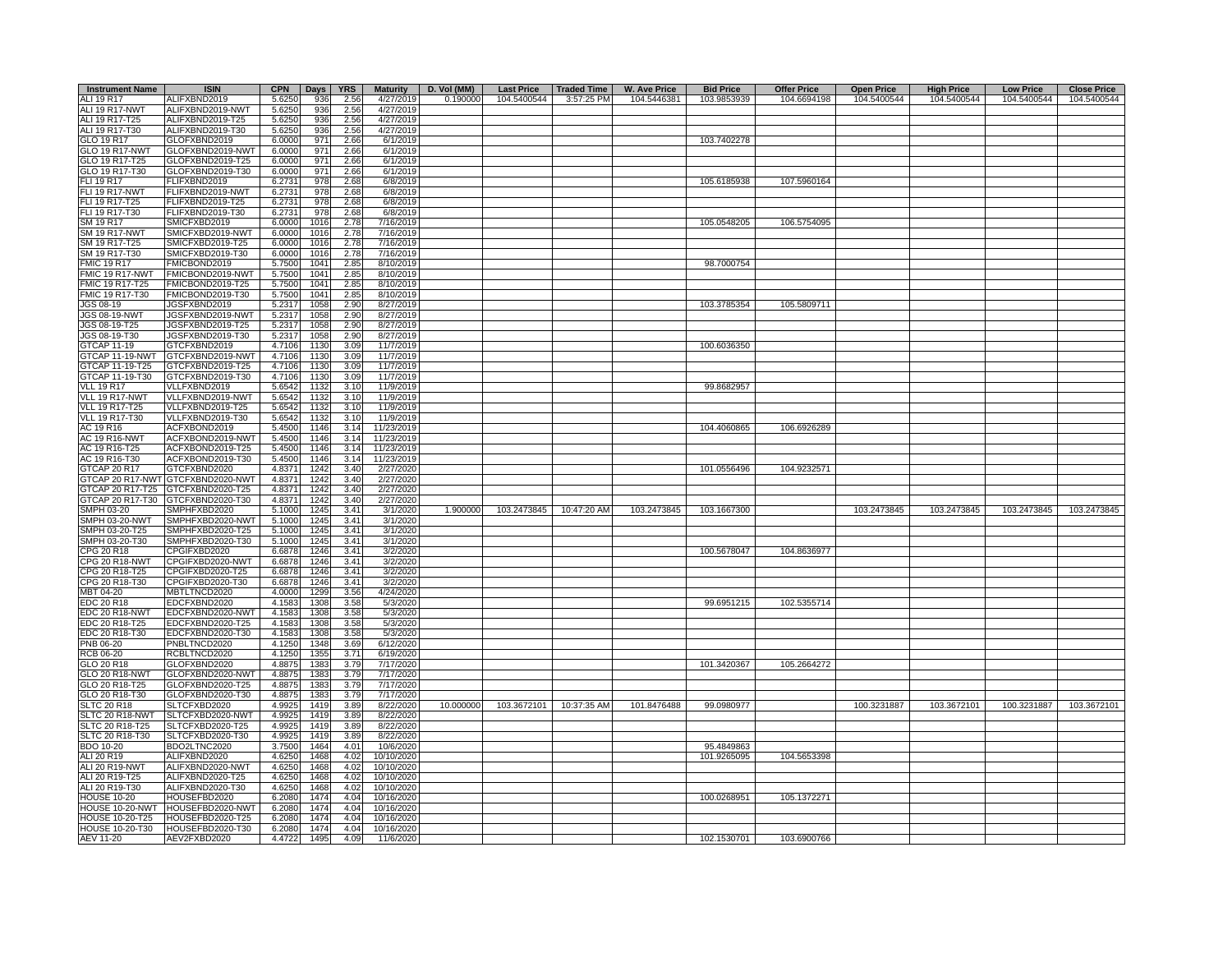| <b>Instrument Name</b> | <b>ISIN</b>                       | <b>CPN</b> | $_{\text{Days}}$ | <b>YRS</b> | <b>Maturity</b> | D. Vol (MM) | <b>Last Price</b> | <b>Traded Time</b>      | <b>W. Ave Price</b> | <b>Bid Price</b> | <b>Offer Price</b> | <b>Open Price</b> | <b>High Price</b> | <b>Low Price</b> | <b>Close Price</b> |
|------------------------|-----------------------------------|------------|------------------|------------|-----------------|-------------|-------------------|-------------------------|---------------------|------------------|--------------------|-------------------|-------------------|------------------|--------------------|
| ALI 19 R17             | ALIFXBND2019                      | 5.6250     | 936              | 2.56       | 4/27/2019       | 0.190000    | 104.5400544       | 3:57:25 PM              | 104.5446381         | 103.9853939      | 104.6694198        | 104.5400544       | 104.5400544       | 104.5400544      | 104.5400544        |
| ALI 19 R17-NWT         | ALIFXBND2019-NWT                  | 5.6250     | 936              | 2.56       | 4/27/2019       |             |                   |                         |                     |                  |                    |                   |                   |                  |                    |
| ALI 19 R17-T25         | ALIFXBND2019-T25                  | 5.6250     | 936              | 2.56       | 4/27/2019       |             |                   |                         |                     |                  |                    |                   |                   |                  |                    |
|                        |                                   |            |                  |            |                 |             |                   |                         |                     |                  |                    |                   |                   |                  |                    |
| ALI 19 R17-T30         | ALIFXBND2019-T30                  | 5.6250     | 936              | 2.56       | 4/27/2019       |             |                   |                         |                     |                  |                    |                   |                   |                  |                    |
| GLO 19 R17             | GLOFXBND2019                      | 6.0000     | 971              | 2.66       | 6/1/2019        |             |                   |                         |                     | 103.7402278      |                    |                   |                   |                  |                    |
| <b>GLO 19 R17-NWT</b>  | GLOFXBND2019-NWT                  | 6.0000     | 971              | 2.66       | 6/1/2019        |             |                   |                         |                     |                  |                    |                   |                   |                  |                    |
| GLO 19 R17-T25         | GLOFXBND2019-T25                  | 6.0000     | 971              | 2.66       | 6/1/2019        |             |                   |                         |                     |                  |                    |                   |                   |                  |                    |
| GLO 19 R17-T30         | GLOFXBND2019-T30                  | 6.0000     | 971              | 2.66       | 6/1/2019        |             |                   |                         |                     |                  |                    |                   |                   |                  |                    |
| FLI 19 R17             | FLIFXBND2019                      | 6.2731     | 978              | 2.68       | 6/8/2019        |             |                   |                         |                     | 105.6185938      | 107.5960164        |                   |                   |                  |                    |
| FLI 19 R17-NWT         | FLIFXBND2019-NWT                  | 6.2731     | 978              | 2.68       | 6/8/2019        |             |                   |                         |                     |                  |                    |                   |                   |                  |                    |
| FLI 19 R17-T25         | FLIFXBND2019-T25                  | 6.2731     | 978              | 2.68       | 6/8/2019        |             |                   |                         |                     |                  |                    |                   |                   |                  |                    |
| FLI 19 R17-T30         | FLIFXBND2019-T30                  | 6.2731     | 978              | 2.68       | 6/8/2019        |             |                   |                         |                     |                  |                    |                   |                   |                  |                    |
| SM 19 R17              | SMICFXBD2019                      | 6.0000     | 1016             | 2.78       | 7/16/2019       |             |                   |                         |                     | 105.0548205      | 106.5754095        |                   |                   |                  |                    |
| <b>SM 19 R17-NWT</b>   | SMICFXBD2019-NWT                  | 6.0000     | 1016             | 2.78       | 7/16/2019       |             |                   |                         |                     |                  |                    |                   |                   |                  |                    |
| SM 19 R17-T25          | SMICFXBD2019-T25                  | 6.0000     | 1016             | 2.78       | 7/16/2019       |             |                   |                         |                     |                  |                    |                   |                   |                  |                    |
| SM 19 R17-T30          | SMICFXBD2019-T30                  | 6.0000     | 1016             | 2.78       | 7/16/2019       |             |                   |                         |                     |                  |                    |                   |                   |                  |                    |
| <b>FMIC 19 R17</b>     | FMICBOND2019                      | 5.7500     | 1041             | 2.85       | 8/10/2019       |             |                   |                         |                     | 98.7000754       |                    |                   |                   |                  |                    |
|                        |                                   |            |                  |            |                 |             |                   |                         |                     |                  |                    |                   |                   |                  |                    |
| FMIC 19 R17-NWT        | FMICBOND2019-NWT                  | 5.7500     | 1041             | 2.85       | 8/10/2019       |             |                   |                         |                     |                  |                    |                   |                   |                  |                    |
| FMIC 19 R17-T25        | FMICBOND2019-T25                  | 5.7500     | 1041             | 2.85       | 8/10/2019       |             |                   |                         |                     |                  |                    |                   |                   |                  |                    |
| FMIC 19 R17-T30        | FMICBOND2019-T30                  | 5.7500     | 1041             | 2.85       | 8/10/2019       |             |                   |                         |                     |                  |                    |                   |                   |                  |                    |
| JGS 08-19              | JGSFXBND2019                      | 5.2317     | 1058             | 2.90       | 8/27/2019       |             |                   |                         |                     | 103.3785354      | 105.5809711        |                   |                   |                  |                    |
| <b>JGS 08-19-NWT</b>   | JGSFXBND2019-NWT                  | 5.2317     | 1058             | 2.90       | 8/27/2019       |             |                   |                         |                     |                  |                    |                   |                   |                  |                    |
| JGS 08-19-T25          | JGSFXBND2019-T25                  | 5.2317     | 1058             | 2.90       | 8/27/2019       |             |                   |                         |                     |                  |                    |                   |                   |                  |                    |
| JGS 08-19-T30          | JGSFXBND2019-T30                  | 5.2317     | 1058             | 2.90       | 8/27/2019       |             |                   |                         |                     |                  |                    |                   |                   |                  |                    |
| GTCAP 11-19            | GTCFXBND2019                      | 4.7106     | 1130             | 3.09       | 11/7/2019       |             |                   |                         |                     | 100.6036350      |                    |                   |                   |                  |                    |
| GTCAP 11-19-NWT        | GTCFXBND2019-NWT                  | 4.7106     | 1130             | 3.09       | 11/7/2019       |             |                   |                         |                     |                  |                    |                   |                   |                  |                    |
| GTCAP 11-19-T25        | GTCFXBND2019-T25                  | 4.7106     | 1130             | 3.09       | 11/7/2019       |             |                   |                         |                     |                  |                    |                   |                   |                  |                    |
| GTCAP 11-19-T30        | GTCFXBND2019-T30                  | 4.7106     | 1130             | 3.09       | 11/7/2019       |             |                   |                         |                     |                  |                    |                   |                   |                  |                    |
| <b>VLL 19 R17</b>      | VLLFXBND2019                      | 5.6542     | 1132             | 3.10       | 11/9/2019       |             |                   |                         |                     | 99.8682957       |                    |                   |                   |                  |                    |
|                        |                                   |            |                  |            |                 |             |                   |                         |                     |                  |                    |                   |                   |                  |                    |
| VLL 19 R17-NWT         | VLLFXBND2019-NWT                  | 5.6542     | 1132             | 3.10       | 11/9/2019       |             |                   |                         |                     |                  |                    |                   |                   |                  |                    |
| <b>VLL 19 R17-T25</b>  | VLLFXBND2019-T25                  | 5.6542     | 1132             | 3.10       | 11/9/2019       |             |                   |                         |                     |                  |                    |                   |                   |                  |                    |
| VLL 19 R17-T30         | VLLFXBND2019-T30                  | 5.6542     | 1132             | 3.10       | 11/9/2019       |             |                   |                         |                     |                  |                    |                   |                   |                  |                    |
| AC 19 R16              | ACFXBOND2019                      | 5.4500     | 1146             | 3.14       | 11/23/2019      |             |                   |                         |                     | 104.4060865      | 106.6926289        |                   |                   |                  |                    |
| <b>AC 19 R16-NWT</b>   | ACFXBOND2019-NWT                  | 5.4500     | 1146             | 3.14       | 11/23/2019      |             |                   |                         |                     |                  |                    |                   |                   |                  |                    |
| AC 19 R16-T25          | ACFXBOND2019-T25                  | 5.4500     | 1146             | 3.14       | 11/23/2019      |             |                   |                         |                     |                  |                    |                   |                   |                  |                    |
| AC 19 R16-T30          | ACFXBOND2019-T30                  | 5.4500     | 1146             | 3.14       | 11/23/2019      |             |                   |                         |                     |                  |                    |                   |                   |                  |                    |
| GTCAP 20 R17           | GTCFXBND2020                      | 4.8371     | 1242             | 3.40       | 2/27/2020       |             |                   |                         |                     | 101.0556496      | 104.9232571        |                   |                   |                  |                    |
|                        | GTCAP 20 R17-NWT GTCFXBND2020-NWT | 4.8371     | 1242             | 3.40       | 2/27/2020       |             |                   |                         |                     |                  |                    |                   |                   |                  |                    |
|                        | GTCAP 20 R17-T25 GTCFXBND2020-T25 | 4.8371     | 1242             | 3.40       | 2/27/2020       |             |                   |                         |                     |                  |                    |                   |                   |                  |                    |
|                        | GTCAP 20 R17-T30 GTCFXBND2020-T30 | 4.8371     | 1242             | 3.40       | 2/27/2020       |             |                   |                         |                     |                  |                    |                   |                   |                  |                    |
| SMPH 03-20             | SMPHFXBD2020                      | 5.1000     | 1245             | 3.41       | 3/1/2020        | 1.900000    |                   | 103.2473845 10:47:20 AM | 103.2473845         | 103.1667300      |                    | 103.2473845       | 103.2473845       | 103.2473845      | 103.2473845        |
| SMPH 03-20-NWT         | SMPHFXBD2020-NWT                  | 5.1000     | 1245             | 3.41       | 3/1/2020        |             |                   |                         |                     |                  |                    |                   |                   |                  |                    |
| SMPH 03-20-T25         | SMPHFXBD2020-T25                  | 5.1000     | 1245             | 3.41       | 3/1/2020        |             |                   |                         |                     |                  |                    |                   |                   |                  |                    |
|                        |                                   |            |                  |            |                 |             |                   |                         |                     |                  |                    |                   |                   |                  |                    |
| SMPH 03-20-T30         | SMPHFXBD2020-T30                  | 5.1000     | 1245             | 3.41       | 3/1/2020        |             |                   |                         |                     |                  |                    |                   |                   |                  |                    |
| CPG 20 R18             | CPGIFXBD2020                      | 6.6878     | 1246             | 3.41       | 3/2/2020        |             |                   |                         |                     | 100.5678047      | 104.8636977        |                   |                   |                  |                    |
| CPG 20 R18-NWT         | CPGIFXBD2020-NWT                  | 6.6878     | 1246             | 3.41       | 3/2/2020        |             |                   |                         |                     |                  |                    |                   |                   |                  |                    |
| CPG 20 R18-T25         | CPGIFXBD2020-T25                  | 6.6878     | 1246             | 3.41       | 3/2/2020        |             |                   |                         |                     |                  |                    |                   |                   |                  |                    |
| CPG 20 R18-T30         | CPGIFXBD2020-T30                  | 6.6878     | 1246             | 3.41       | 3/2/2020        |             |                   |                         |                     |                  |                    |                   |                   |                  |                    |
| MBT 04-20              | MBTLTNCD2020                      | 4.0000     | 1299             | 3.56       | 4/24/2020       |             |                   |                         |                     |                  |                    |                   |                   |                  |                    |
| EDC 20 R18             | EDCFXBND2020                      | 4.1583     | 1308             | 3.58       | 5/3/2020        |             |                   |                         |                     | 99.6951215       | 102.5355714        |                   |                   |                  |                    |
| EDC 20 R18-NWT         | EDCFXBND2020-NWT                  | 4.1583     | 1308             | 3.58       | 5/3/2020        |             |                   |                         |                     |                  |                    |                   |                   |                  |                    |
| EDC 20 R18-T25         | EDCFXBND2020-T25                  | 4.1583     | 1308             | 3.58       | 5/3/2020        |             |                   |                         |                     |                  |                    |                   |                   |                  |                    |
| EDC 20 R18-T30         | EDCFXBND2020-T30                  | 4.1583     | 1308             | 3.58       | 5/3/2020        |             |                   |                         |                     |                  |                    |                   |                   |                  |                    |
| PNB 06-20              | PNBLTNCD2020                      | 4.1250     | 1348             | 3.69       | 6/12/2020       |             |                   |                         |                     |                  |                    |                   |                   |                  |                    |
| <b>RCB 06-20</b>       | RCBLTNCD2020                      | 4.1250     | 1355             | 3.71       | 6/19/2020       |             |                   |                         |                     |                  |                    |                   |                   |                  |                    |
| GLO 20 R18             | GLOFXBND2020                      | 4.8875     | 1383             | 3.79       | 7/17/2020       |             |                   |                         |                     | 101.3420367      | 105.2664272        |                   |                   |                  |                    |
| GLO 20 R18-NWT         | GLOFXBND2020-NWT                  | 4.8875     | 1383             | 3.79       | 7/17/2020       |             |                   |                         |                     |                  |                    |                   |                   |                  |                    |
| GLO 20 R18-T25         | GLOFXBND2020-T25                  |            | 1383             | 3.79       |                 |             |                   |                         |                     |                  |                    |                   |                   |                  |                    |
| GLO 20 R18-T30         | GLOFXBND2020-T30                  | 4.8875     |                  |            | 7/17/2020       |             |                   |                         |                     |                  |                    |                   |                   |                  |                    |
|                        |                                   | 4.8875     | 1383             | 3.79       | 7/17/2020       |             |                   |                         |                     |                  |                    |                   |                   |                  |                    |
| <b>SLTC 20 R18</b>     | SLTCFXBD2020                      | 4.9925     | 1419             | 3.89       | 8/22/2020       | 10.000000   | 103.3672101       | 10:37:35 AM             | 101.8476488         | 99.0980977       |                    | 100.3231887       | 103.3672101       | 100.3231887      | 103.3672101        |
| SLTC 20 R18-NWT        | SLTCFXBD2020-NWT                  | 4.9925     | 1419             | 3.89       | 8/22/2020       |             |                   |                         |                     |                  |                    |                   |                   |                  |                    |
| SLTC 20 R18-T25        | SLTCFXBD2020-T25                  | 4.9925     | 1419             | 3.89       | 8/22/2020       |             |                   |                         |                     |                  |                    |                   |                   |                  |                    |
| SLTC 20 R18-T30        | SLTCFXBD2020-T30                  | 4.9925     | 1419             | 3.89       | 8/22/2020       |             |                   |                         |                     |                  |                    |                   |                   |                  |                    |
| <b>BDO 10-20</b>       | BDO2LTNC2020                      | 3.7500     | 1464             | 4.01       | 10/6/2020       |             |                   |                         |                     | 95.4849863       |                    |                   |                   |                  |                    |
| ALI 20 R19             | ALIFXBND2020                      | 4.6250     | 1468             | 4.02       | 10/10/2020      |             |                   |                         |                     | 101.9265095      | 104.5653398        |                   |                   |                  |                    |
| ALI 20 R19-NWT         | ALIFXBND2020-NWT                  | 4.6250     | 1468             | 4.02       | 10/10/2020      |             |                   |                         |                     |                  |                    |                   |                   |                  |                    |
| ALI 20 R19-T25         | ALIFXBND2020-T25                  | 4.6250     | 1468             | 4.02       | 10/10/2020      |             |                   |                         |                     |                  |                    |                   |                   |                  |                    |
| ALI 20 R19-T30         | ALIFXBND2020-T30                  | 4.6250     | 1468             | 4.02       | 10/10/2020      |             |                   |                         |                     |                  |                    |                   |                   |                  |                    |
| <b>HOUSE 10-20</b>     | HOUSEFBD2020                      | 6.2080     | 1474             | 4.04       | 10/16/2020      |             |                   |                         |                     | 100.0268951      | 105.1372271        |                   |                   |                  |                    |
|                        | HOUSE 10-20-NWT HOUSEFBD2020-NWT  | 6.2080     | 1474             | 4.04       | 10/16/2020      |             |                   |                         |                     |                  |                    |                   |                   |                  |                    |
| <b>HOUSE 10-20-T25</b> | HOUSEFBD2020-T25                  | 6.2080     | 1474             | 4.04       | 10/16/2020      |             |                   |                         |                     |                  |                    |                   |                   |                  |                    |
| HOUSE 10-20-T30        | HOUSEFBD2020-T30                  | 6.2080     | 1474             | 4.04       | 10/16/2020      |             |                   |                         |                     |                  |                    |                   |                   |                  |                    |
|                        |                                   |            |                  |            |                 |             |                   |                         |                     |                  |                    |                   |                   |                  |                    |
| AEV 11-20              | AEV2FXBD2020                      | 4.4722     | 1495             | 4.09       | 11/6/2020       |             |                   |                         |                     | 102.1530701      | 103.6900766        |                   |                   |                  |                    |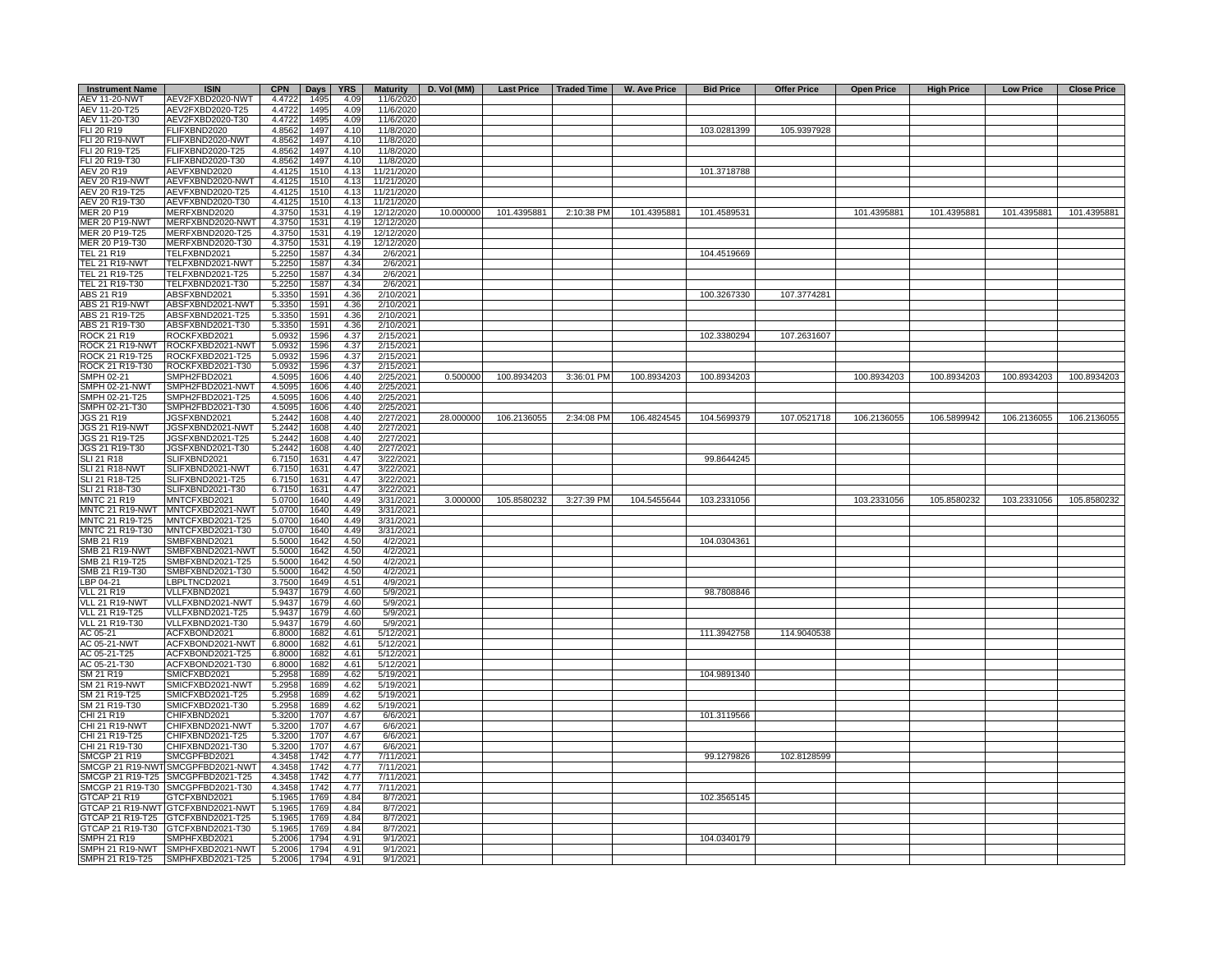| <b>Instrument Name</b>                  | <b>ISIN</b>                          |                  | CPN   Days   YRS |              | <b>Maturity</b>        | D. Vol (MM) |             | Last Price   Traded Time | W. Ave Price | <b>Bid Price</b> | <b>Offer Price</b> | <b>Open Price</b> | <b>High Price</b> | <b>Low Price</b> | <b>Close Price</b>      |
|-----------------------------------------|--------------------------------------|------------------|------------------|--------------|------------------------|-------------|-------------|--------------------------|--------------|------------------|--------------------|-------------------|-------------------|------------------|-------------------------|
| <b>AEV 11-20-NWT</b>                    | AEV2FXBD2020-NWT                     | 4.4722           | 1495             | 4.09         | 11/6/2020              |             |             |                          |              |                  |                    |                   |                   |                  |                         |
| AEV 11-20-T25                           | AEV2FXBD2020-T25                     | 4.4722           | 1495             | 4.09         | 11/6/2020              |             |             |                          |              |                  |                    |                   |                   |                  |                         |
| AEV 11-20-T30                           | AEV2FXBD2020-T30                     | 4.4722           | 1495             | 4.09         | 11/6/2020              |             |             |                          |              |                  |                    |                   |                   |                  |                         |
| FLI 20 R19                              | FLIFXBND2020                         | 4.8562           | 1497             | 4.10         | 11/8/2020              |             |             |                          |              | 103.0281399      | 105.9397928        |                   |                   |                  |                         |
| <b>FLI 20 R19-NWT</b><br>FLI 20 R19-T25 | FLIFXBND2020-NWT<br>FLIFXBND2020-T25 | 4.8562<br>4.8562 | 1497<br>1497     | 4.10<br>4.10 | 11/8/2020<br>11/8/2020 |             |             |                          |              |                  |                    |                   |                   |                  |                         |
| FLI 20 R19-T30                          | FLIFXBND2020-T30                     | 4.8562           | 1497             | 4.10         | 11/8/2020              |             |             |                          |              |                  |                    |                   |                   |                  |                         |
| AEV 20 R19                              | AEVFXBND2020                         | 4.4125           | 1510             | 4.13         | 11/21/2020             |             |             |                          |              | 101.3718788      |                    |                   |                   |                  |                         |
| AEV 20 R19-NWT                          | AEVFXBND2020-NWT                     | 4.4125           | 1510             | 4.13         | 11/21/2020             |             |             |                          |              |                  |                    |                   |                   |                  |                         |
| AEV 20 R19-T25                          | AEVFXBND2020-T25                     | 4.4125           | 1510             | 4.13         | 11/21/2020             |             |             |                          |              |                  |                    |                   |                   |                  |                         |
| AEV 20 R19-T30                          | AEVFXBND2020-T30                     | 4.4125           | 1510             | 4.13         | 11/21/2020             |             |             |                          |              |                  |                    |                   |                   |                  |                         |
| MER 20 P19                              | MERFXBND2020                         | 4.3750           | 1531             | 4.19         | 12/12/2020             | 10.000000   | 101.4395881 | 2:10:38 PM               | 101.4395881  | 101.4589531      |                    | 101.4395881       | 101.4395881       |                  | 101.4395881 101.4395881 |
| <b>MER 20 P19-NWT</b>                   | MERFXBND2020-NWT                     | 4.3750           | 1531             | 4.19         | 12/12/2020             |             |             |                          |              |                  |                    |                   |                   |                  |                         |
| MER 20 P19-T25                          | MERFXBND2020-T25                     | 4.3750           | 1531             | 4.19         | 12/12/2020             |             |             |                          |              |                  |                    |                   |                   |                  |                         |
| MER 20 P19-T30                          | MERFXBND2020-T30                     | 4.3750           | 1531             | 4.19         | 12/12/2020             |             |             |                          |              |                  |                    |                   |                   |                  |                         |
| TEL 21 R19                              | TELFXBND2021                         | 5.2250           | 1587             | 4.34         | 2/6/2021               |             |             |                          |              | 104.4519669      |                    |                   |                   |                  |                         |
| <b>TEL 21 R19-NWT</b>                   | TELFXBND2021-NWT                     | 5.2250           | 1587             | 4.34         | 2/6/2021               |             |             |                          |              |                  |                    |                   |                   |                  |                         |
| TEL 21 R19-T25                          | TELFXBND2021-T25                     | 5.2250           | 1587             | 4.34         | 2/6/2021               |             |             |                          |              |                  |                    |                   |                   |                  |                         |
| TEL 21 R19-T30                          | TELFXBND2021-T30                     | 5.2250           | 1587             | 4.34         | 2/6/2021               |             |             |                          |              |                  |                    |                   |                   |                  |                         |
| ABS 21 R19                              | ABSFXBND2021                         | 5.3350           | 1591             | 4.36         | 2/10/2021              |             |             |                          |              | 100.3267330      | 107.3774281        |                   |                   |                  |                         |
| <b>ABS 21 R19-NWT</b>                   | ABSFXBND2021-NWT                     | 5.3350           | 1591             | 4.36         | 2/10/2021              |             |             |                          |              |                  |                    |                   |                   |                  |                         |
| ABS 21 R19-T25                          | ABSFXBND2021-T25                     | 5.3350           | 1591             | 4.36         | 2/10/2021              |             |             |                          |              |                  |                    |                   |                   |                  |                         |
| ABS 21 R19-T30                          | ABSFXBND2021-T30                     | 5.3350           | 1591             | 4.36         | 2/10/2021              |             |             |                          |              | 102.3380294      |                    |                   |                   |                  |                         |
| ROCK 21 R19                             | ROCKFXBD2021                         | 5.0932           | 1596             | 4.37         | 2/15/2021              |             |             |                          |              |                  | 107.2631607        |                   |                   |                  |                         |
| ROCK 21 R19-NWT<br>ROCK 21 R19-T25      | ROCKFXBD2021-NWT<br>ROCKFXBD2021-T25 | 5.0932<br>5.0932 | 1596<br>1596     | 4.37<br>4.37 | 2/15/2021<br>2/15/2021 |             |             |                          |              |                  |                    |                   |                   |                  |                         |
| ROCK 21 R19-T30                         | ROCKFXBD2021-T30                     | 5.0932           | 1596             | 4.37         | 2/15/2021              |             |             |                          |              |                  |                    |                   |                   |                  |                         |
| SMPH 02-21                              | SMPH2FBD2021                         | 4.5095           | 1606             | 4.40         | 2/25/2021              | 0.500000    | 100.8934203 | 3:36:01 PM               | 100.8934203  | 100.8934203      |                    | 100.8934203       | 100.8934203       | 100.8934203      | 100.8934203             |
| SMPH 02-21-NWT                          | SMPH2FBD2021-NWT                     | 4.5095           | 1606             | 4.40         | 2/25/2021              |             |             |                          |              |                  |                    |                   |                   |                  |                         |
| SMPH 02-21-T25                          | SMPH2FBD2021-T25                     | 4.5095           | 1606             | 4.40         | 2/25/2021              |             |             |                          |              |                  |                    |                   |                   |                  |                         |
| SMPH 02-21-T30                          | SMPH2FBD2021-T30                     | 4.5095           | 1606             | 4.40         | 2/25/2021              |             |             |                          |              |                  |                    |                   |                   |                  |                         |
| <b>JGS 21 R19</b>                       | JGSFXBND2021                         | 5.2442           | 1608             | 4.40         | 2/27/2021              | 28.000000   | 106.2136055 | 2:34:08 PM               | 106.4824545  | 104.5699379      | 107.0521718        | 106.2136055       | 106.5899942       | 106.2136055      | 106.2136055             |
| JGS 21 R19-NWT                          | JGSFXBND2021-NWT                     | 5.2442           | 1608             | 4.40         | 2/27/2021              |             |             |                          |              |                  |                    |                   |                   |                  |                         |
| JGS 21 R19-T25                          | JGSFXBND2021-T25                     | 5.2442           | 1608             | 4.40         | 2/27/2021              |             |             |                          |              |                  |                    |                   |                   |                  |                         |
| JGS 21 R19-T30                          | JGSFXBND2021-T30                     | 5.2442           | 1608             | 4.40         | 2/27/2021              |             |             |                          |              |                  |                    |                   |                   |                  |                         |
| <b>SLI 21 R18</b>                       | SLIFXBND2021                         | 6.7150           | 1631             | 4.47         | 3/22/2021              |             |             |                          |              | 99.8644245       |                    |                   |                   |                  |                         |
| <b>SLI 21 R18-NWT</b>                   | SLIFXBND2021-NWT                     | 6.7150           | 1631             | 4.47         | 3/22/2021              |             |             |                          |              |                  |                    |                   |                   |                  |                         |
| SLI 21 R18-T25                          | SLIFXBND2021-T25                     | 6.7150           | 1631             | 4.47         | 3/22/2021              |             |             |                          |              |                  |                    |                   |                   |                  |                         |
| SLI 21 R18-T30                          | SLIFXBND2021-T30                     | 6.7150           | 1631             | 4.47         | 3/22/2021              |             |             |                          |              |                  |                    |                   |                   |                  |                         |
| <b>MNTC 21 R19</b>                      | MNTCFXBD2021                         | 5.0700           | 1640             | 4.49         | 3/31/2021              | 3.000000    | 105.8580232 | 3:27:39 PM               | 104.5455644  | 103.2331056      |                    | 103.2331056       | 105.8580232       | 103.2331056      | 105.8580232             |
| MNTC 21 R19-NWT                         | MNTCFXBD2021-NWT                     | 5.0700           | 1640             | 4.49         | 3/31/2021              |             |             |                          |              |                  |                    |                   |                   |                  |                         |
| MNTC 21 R19-T25                         | MNTCFXBD2021-T25                     | 5.0700           | 1640             | 4.49         | 3/31/2021              |             |             |                          |              |                  |                    |                   |                   |                  |                         |
| MNTC 21 R19-T30                         | MNTCFXBD2021-T30                     | 5.0700           | 1640             | 4.49         | 3/31/2021              |             |             |                          |              |                  |                    |                   |                   |                  |                         |
| SMB 21 R19                              | SMBFXBND2021                         | 5.5000           | 1642             | 4.50         | 4/2/2021               |             |             |                          |              | 104.0304361      |                    |                   |                   |                  |                         |
| <b>SMB 21 R19-NWT</b>                   | SMBFXBND2021-NWT                     | 5.5000           | 1642             | 4.50         | 4/2/2021               |             |             |                          |              |                  |                    |                   |                   |                  |                         |
| SMB 21 R19-T25                          | SMBFXBND2021-T25                     | 5.5000           | 1642             | 4.50         | 4/2/2021               |             |             |                          |              |                  |                    |                   |                   |                  |                         |
| SMB 21 R19-T30                          | SMBFXBND2021-T30                     | 5.5000           | 1642             | 4.50         | 4/2/2021               |             |             |                          |              |                  |                    |                   |                   |                  |                         |
| LBP 04-21<br><b>VLL 21 R19</b>          | LBPLTNCD2021<br>VLLFXBND2021         | 3.7500<br>5.9437 | 1649<br>1679     | 4.51<br>4.60 | 4/9/2021<br>5/9/2021   |             |             |                          |              | 98.7808846       |                    |                   |                   |                  |                         |
| VLL 21 R19-NWT                          | VLLFXBND2021-NWT                     | 5.9437           |                  | 4.60         |                        |             |             |                          |              |                  |                    |                   |                   |                  |                         |
| VLL 21 R19-T25                          | VLLFXBND2021-T25                     | 5.9437           | 1679<br>1679     | 4.60         | 5/9/2021<br>5/9/2021   |             |             |                          |              |                  |                    |                   |                   |                  |                         |
| <b>VLL 21 R19-T30</b>                   | VLLFXBND2021-T30                     | 5.9437           | 1679             | 4.60         | 5/9/2021               |             |             |                          |              |                  |                    |                   |                   |                  |                         |
| AC 05-21                                | ACFXBOND2021                         | 6,8000           | 1682             | 4.61         | 5/12/2021              |             |             |                          |              | 111.3942758      | 114.9040538        |                   |                   |                  |                         |
| AC 05-21-NWT                            | ACFXBOND2021-NWT                     | 6.8000           | 1682             | 4.61         | 5/12/2021              |             |             |                          |              |                  |                    |                   |                   |                  |                         |
| AC 05-21-T25                            | ACFXBOND2021-T25                     | 6.8000           | 1682             | 4.61         | 5/12/2021              |             |             |                          |              |                  |                    |                   |                   |                  |                         |
| AC 05-21-T30                            | ACFXBOND2021-T30                     | 6.8000           | 1682             | 4.61         | 5/12/2021              |             |             |                          |              |                  |                    |                   |                   |                  |                         |
| SM 21 R19                               | SMICFXBD2021                         | 5.2958           | 1689             | 4.62         | 5/19/2021              |             |             |                          |              | 104.9891340      |                    |                   |                   |                  |                         |
| SM 21 R19-NWT                           | SMICFXBD2021-NWT                     | 5.2958           | 1689             | 4.62         | 5/19/2021              |             |             |                          |              |                  |                    |                   |                   |                  |                         |
| SM 21 R19-T25                           | SMICFXBD2021-T25                     | 5.2958           | 1689             | 4.62         | 5/19/2021              |             |             |                          |              |                  |                    |                   |                   |                  |                         |
| SM 21 R19-T30                           | SMICFXBD2021-T30                     | 5.2958           | 1689             | 4.62         | 5/19/2021              |             |             |                          |              |                  |                    |                   |                   |                  |                         |
| CHI 21 R19                              | CHIFXBND2021                         | 5.3200           | 1707             | 4.67         | 6/6/2021               |             |             |                          |              | 101.3119566      |                    |                   |                   |                  |                         |
| CHI 21 R19-NWT                          | CHIFXBND2021-NWT                     | 5.3200           | 1707             | 4.67         | 6/6/2021               |             |             |                          |              |                  |                    |                   |                   |                  |                         |
| CHI 21 R19-T25                          | CHIFXBND2021-T25                     | 5.3200           | 1707             | 4.67         | 6/6/2021               |             |             |                          |              |                  |                    |                   |                   |                  |                         |
| CHI 21 R19-T30                          | CHIFXBND2021-T30                     | 5.3200           | 1707             | 4.67         | 6/6/2021               |             |             |                          |              |                  |                    |                   |                   |                  |                         |
| <b>SMCGP 21 R19</b>                     | SMCGPFBD2021                         | 4.3458           | 1742             | 4.77         | 7/11/2021              |             |             |                          |              | 99.1279826       | 102.8128599        |                   |                   |                  |                         |
|                                         | SMCGP 21 R19-NWT SMCGPFBD2021-NWT    | 4.3458           | 1742             | 4.77         | 7/11/2021              |             |             |                          |              |                  |                    |                   |                   |                  |                         |
|                                         | SMCGP 21 R19-T25 SMCGPFBD2021-T25    | 4.3458           | 1742             | 4.77         | 7/11/2021              |             |             |                          |              |                  |                    |                   |                   |                  |                         |
|                                         | SMCGP 21 R19-T30 SMCGPFBD2021-T30    | 4.3458           | 1742             | 4.77         | 7/11/2021              |             |             |                          |              |                  |                    |                   |                   |                  |                         |
| GTCAP 21 R19                            | GTCFXBND2021                         | 5.1965           | 1769             | 4.84         | 8/7/2021               |             |             |                          |              | 102.3565145      |                    |                   |                   |                  |                         |
|                                         | GTCAP 21 R19-NWT GTCFXBND2021-NWT    | 5.1965           | 1769             | 4.84         | 8/7/2021               |             |             |                          |              |                  |                    |                   |                   |                  |                         |
|                                         | GTCAP 21 R19-T25 GTCFXBND2021-T25    | 5.1965           | 1769             | 4.84         | 8/7/2021               |             |             |                          |              |                  |                    |                   |                   |                  |                         |
|                                         | GTCAP 21 R19-T30 GTCFXBND2021-T30    | 5.1965           | 1769             | 4.84         | 8/7/2021               |             |             |                          |              |                  |                    |                   |                   |                  |                         |
| SMPH 21 R19                             | SMPHFXBD2021                         | 5.2006           | 1794             | 4.91<br>4.91 | 9/1/2021               |             |             |                          |              | 104.0340179      |                    |                   |                   |                  |                         |
|                                         | SMPH 21 R19-NWT SMPHFXBD2021-NWT     | 5.2006           | 1794             |              | 9/1/2021               |             |             |                          |              |                  |                    |                   |                   |                  |                         |
| SMPH 21 R19-T25                         | SMPHFXBD2021-T25                     | 5.2006           | 1794             | 4.91         | 9/1/2021               |             |             |                          |              |                  |                    |                   |                   |                  |                         |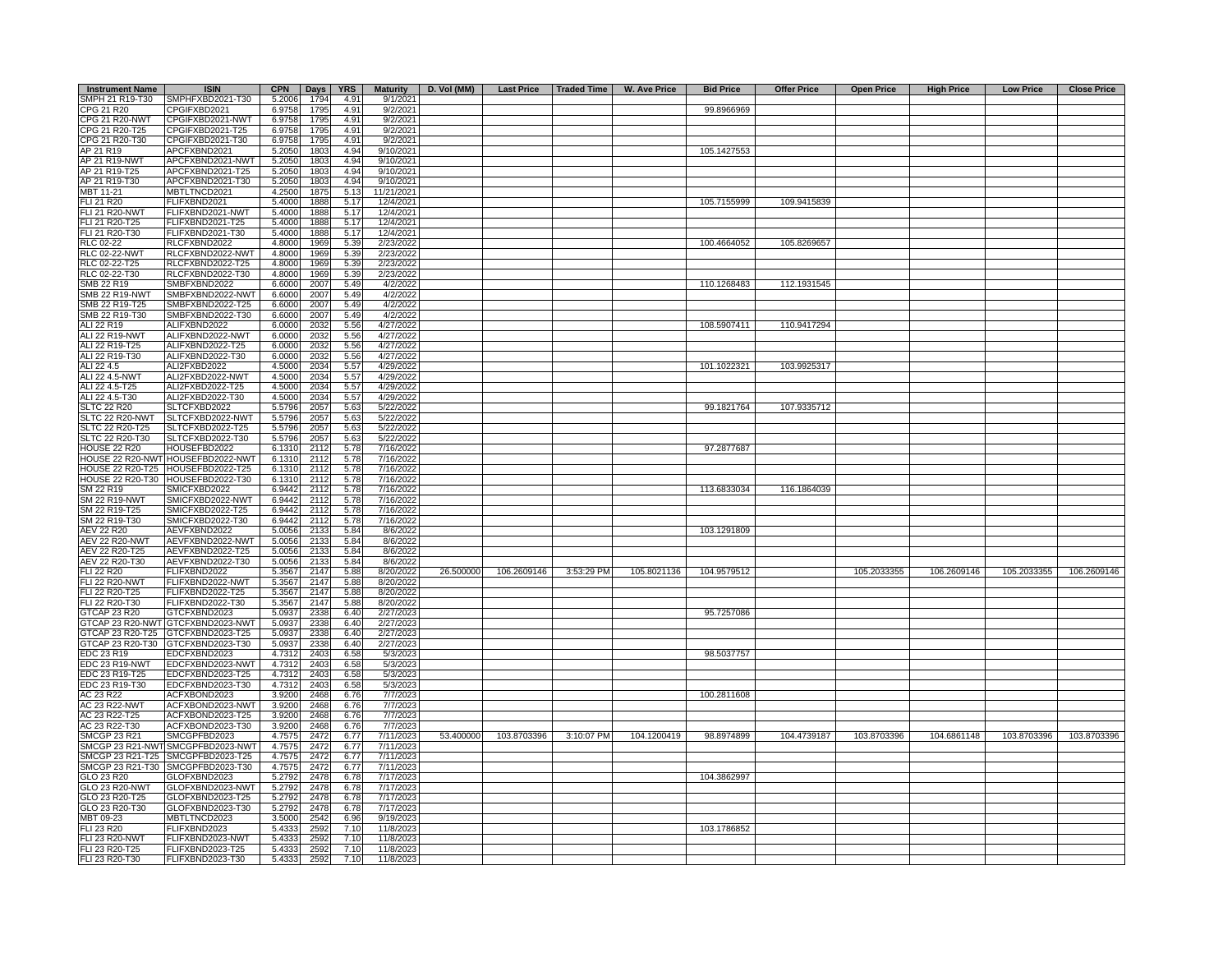| <b>Instrument Name</b> | <b>ISIN</b>                       | <b>CPN</b> | Days YRS |      | <b>Maturity</b> | D. Vol (MM)              | Last Price   Traded Time   W. Ave Price |             | <b>Bid Price</b> | <b>Offer Price</b> | <b>Open Price</b> | <b>High Price</b> | <b>Low Price</b> | <b>Close Price</b> |
|------------------------|-----------------------------------|------------|----------|------|-----------------|--------------------------|-----------------------------------------|-------------|------------------|--------------------|-------------------|-------------------|------------------|--------------------|
| SMPH 21 R19-T30        | SMPHFXBD2021-T30                  | 5.2006     | 1794     | 4.91 | 9/1/2021        |                          |                                         |             |                  |                    |                   |                   |                  |                    |
| CPG 21 R20             | CPGIFXBD2021                      | 6.9758     | 1795     | 4.91 | 9/2/2021        |                          |                                         |             | 99.8966969       |                    |                   |                   |                  |                    |
| CPG 21 R20-NWT         | CPGIFXBD2021-NWT                  | 6.9758     | 1795     | 4.91 | 9/2/2021        |                          |                                         |             |                  |                    |                   |                   |                  |                    |
| CPG 21 R20-T25         | CPGIFXBD2021-T25                  | 6.9758     | 1795     | 4.91 | 9/2/2021        |                          |                                         |             |                  |                    |                   |                   |                  |                    |
| CPG 21 R20-T30         | CPGIFXBD2021-T30                  | 6.9758     | 1795     | 4.91 | 9/2/2021        |                          |                                         |             |                  |                    |                   |                   |                  |                    |
| AP 21 R19              | APCFXBND2021                      | 5.2050     | 1803     | 4.94 | 9/10/2021       |                          |                                         |             | 105.1427553      |                    |                   |                   |                  |                    |
| AP 21 R19-NWT          | APCFXBND2021-NWT                  | 5.2050     | 1803     | 4.94 | 9/10/2021       |                          |                                         |             |                  |                    |                   |                   |                  |                    |
| AP 21 R19-T25          | APCFXBND2021-T25                  | 5.2050     | 1803     | 4.94 | 9/10/2021       |                          |                                         |             |                  |                    |                   |                   |                  |                    |
|                        |                                   |            |          |      |                 |                          |                                         |             |                  |                    |                   |                   |                  |                    |
| AP 21 R19-T30          | APCFXBND2021-T30                  | 5.2050     | 1803     | 4.94 | 9/10/2021       |                          |                                         |             |                  |                    |                   |                   |                  |                    |
| MBT 11-21              | MBTLTNCD2021                      | 4.2500     | 1875     | 5.13 | 11/21/2021      |                          |                                         |             |                  |                    |                   |                   |                  |                    |
| FLI 21 R20             | FLIFXBND2021                      | 5.4000     | 1888     | 5.17 | 12/4/2021       |                          |                                         |             | 105.7155999      | 109.9415839        |                   |                   |                  |                    |
| <b>FLI 21 R20-NWT</b>  | FLIFXBND2021-NWT                  | 5.4000     | 1888     | 5.17 | 12/4/2021       |                          |                                         |             |                  |                    |                   |                   |                  |                    |
| FLI 21 R20-T25         | FLIFXBND2021-T25                  | 5.4000     | 1888     | 5.17 | 12/4/2021       |                          |                                         |             |                  |                    |                   |                   |                  |                    |
| FLI 21 R20-T30         | FLIFXBND2021-T30                  | 5.4000     | 1888     | 5.17 | 12/4/2021       |                          |                                         |             |                  |                    |                   |                   |                  |                    |
| RLC 02-22              | RLCFXBND2022                      | 4.8000     | 1969     | 5.39 | 2/23/2022       |                          |                                         |             | 100.4664052      | 105.8269657        |                   |                   |                  |                    |
| RLC 02-22-NWT          | RLCFXBND2022-NWT                  | 4.8000     | 1969     | 5.39 | 2/23/2022       |                          |                                         |             |                  |                    |                   |                   |                  |                    |
| RLC 02-22-T25          | RLCFXBND2022-T25                  | 4.8000     | 1969     | 5.39 | 2/23/2022       |                          |                                         |             |                  |                    |                   |                   |                  |                    |
| RLC 02-22-T30          | RLCFXBND2022-T30                  | 4.8000     | 1969     | 5.39 | 2/23/2022       |                          |                                         |             |                  |                    |                   |                   |                  |                    |
| SMB 22 R19             | SMBFXBND2022                      | 6.6000     | 2007     | 5.49 | 4/2/2022        |                          |                                         |             | 110.1268483      | 112.1931545        |                   |                   |                  |                    |
|                        |                                   |            |          |      |                 |                          |                                         |             |                  |                    |                   |                   |                  |                    |
| <b>SMB 22 R19-NWT</b>  | SMBFXBND2022-NWT                  | 6.6000     | 2007     | 5.49 | 4/2/2022        |                          |                                         |             |                  |                    |                   |                   |                  |                    |
| SMB 22 R19-T25         | SMBFXBND2022-T25                  | 6.6000     | 2007     | 5.49 | 4/2/2022        |                          |                                         |             |                  |                    |                   |                   |                  |                    |
| SMB 22 R19-T30         | SMBFXBND2022-T30                  | 6.6000     | 2007     | 5.49 | 4/2/2022        |                          |                                         |             |                  |                    |                   |                   |                  |                    |
| ALI 22 R19             | ALIFXBND2022                      | 6.0000     | 2032     | 5.56 | 4/27/2022       |                          |                                         |             | 108.5907411      | 110.9417294        |                   |                   |                  |                    |
| ALI 22 R19-NWT         | ALIFXBND2022-NWT                  | 6.0000     | 2032     | 5.56 | 4/27/2022       |                          |                                         |             |                  |                    |                   |                   |                  |                    |
| ALI 22 R19-T25         | ALIFXBND2022-T25                  | 6.0000     | 2032     | 5.56 | 4/27/2022       |                          |                                         |             |                  |                    |                   |                   |                  |                    |
| ALI 22 R19-T30         | ALIFXBND2022-T30                  | 6.0000     | 2032     | 5.56 | 4/27/2022       |                          |                                         |             |                  |                    |                   |                   |                  |                    |
| ALI 22 4.5             | ALI2FXBD2022                      |            | 2034     |      | 4/29/2022       |                          |                                         |             |                  |                    |                   |                   |                  |                    |
|                        |                                   | 4.5000     |          | 5.57 |                 |                          |                                         |             | 101.1022321      | 103.9925317        |                   |                   |                  |                    |
| ALI 22 4.5-NWT         | ALI2FXBD2022-NWT                  | 4.5000     | 2034     | 5.57 | 4/29/2022       |                          |                                         |             |                  |                    |                   |                   |                  |                    |
| ALI 22 4.5-T25         | ALI2FXBD2022-T25                  | 4.5000     | 2034     | 5.57 | 4/29/2022       |                          |                                         |             |                  |                    |                   |                   |                  |                    |
| ALI 22 4.5-T30         | ALI2FXBD2022-T30                  | 4.5000     | 2034     | 5.57 | 4/29/2022       |                          |                                         |             |                  |                    |                   |                   |                  |                    |
| <b>SLTC 22 R20</b>     | SLTCFXBD2022                      | 5.5796     | 2057     | 5.63 | 5/22/2022       |                          |                                         |             | 99.1821764       | 107.9335712        |                   |                   |                  |                    |
| SLTC 22 R20-NWT        | SLTCFXBD2022-NWT                  | 5.5796     | 2057     | 5.63 | 5/22/2022       |                          |                                         |             |                  |                    |                   |                   |                  |                    |
| SLTC 22 R20-T25        | SLTCFXBD2022-T25                  | 5.5796     | 2057     | 5.63 | 5/22/2022       |                          |                                         |             |                  |                    |                   |                   |                  |                    |
| SLTC 22 R20-T30        | SLTCFXBD2022-T30                  | 5.5796     | 2057     | 5.63 | 5/22/2022       |                          |                                         |             |                  |                    |                   |                   |                  |                    |
| <b>HOUSE 22 R20</b>    | HOUSEFBD2022                      | 6.1310     | 2112     | 5.78 | 7/16/2022       |                          |                                         |             | 97.2877687       |                    |                   |                   |                  |                    |
|                        |                                   |            |          |      |                 |                          |                                         |             |                  |                    |                   |                   |                  |                    |
|                        | HOUSE 22 R20-NWT HOUSEFBD2022-NWT | 6.1310     | 2112     | 5.78 | 7/16/2022       |                          |                                         |             |                  |                    |                   |                   |                  |                    |
|                        | HOUSE 22 R20-T25 HOUSEFBD2022-T25 | 6.1310     | 2112     | 5.78 | 7/16/2022       |                          |                                         |             |                  |                    |                   |                   |                  |                    |
|                        | HOUSE 22 R20-T30 HOUSEFBD2022-T30 | 6.1310     | 2112     | 5.78 | 7/16/2022       |                          |                                         |             |                  |                    |                   |                   |                  |                    |
| SM 22 R19              | SMICFXBD2022                      | 6.9442     | 2112     | 5.78 | 7/16/2022       |                          |                                         |             | 113.6833034      | 116.1864039        |                   |                   |                  |                    |
| <b>SM 22 R19-NWT</b>   | SMICFXBD2022-NWT                  | 6.9442     | 2112     | 5.78 | 7/16/2022       |                          |                                         |             |                  |                    |                   |                   |                  |                    |
| SM 22 R19-T25          | SMICFXBD2022-T25                  | 6.9442     | 2112     | 5.78 | 7/16/2022       |                          |                                         |             |                  |                    |                   |                   |                  |                    |
| SM 22 R19-T30          | SMICFXBD2022-T30                  | 6.9442     | 2112     | 5.78 | 7/16/2022       |                          |                                         |             |                  |                    |                   |                   |                  |                    |
| AEV 22 R20             | AEVFXBND2022                      | 5.0056     | 2133     | 5.84 | 8/6/2022        |                          |                                         |             | 103.1291809      |                    |                   |                   |                  |                    |
| <b>AEV 22 R20-NWT</b>  | AEVFXBND2022-NWT                  | 5.0056     | 2133     | 5.84 | 8/6/2022        |                          |                                         |             |                  |                    |                   |                   |                  |                    |
|                        |                                   |            |          |      |                 |                          |                                         |             |                  |                    |                   |                   |                  |                    |
| AEV 22 R20-T25         | AEVFXBND2022-T25                  | 5.0056     | 2133     | 5.84 | 8/6/2022        |                          |                                         |             |                  |                    |                   |                   |                  |                    |
| AEV 22 R20-T30         | AEVFXBND2022-T30                  | 5.0056     | 2133     | 5.84 | 8/6/2022        |                          |                                         |             |                  |                    |                   |                   |                  |                    |
| <b>FLI 22 R20</b>      | FLIFXBND2022                      | 5.3567     | 2147     | 5.88 | 8/20/2022       | 106.2609146<br>26.500000 | 3:53:29 PM                              | 105.8021136 | 104.9579512      |                    | 105.2033355       | 106.2609146       | 105.2033355      | 106.2609146        |
| <b>FLI 22 R20-NWT</b>  | FLIFXBND2022-NWT                  | 5.3567     | 2147     | 5.88 | 8/20/2022       |                          |                                         |             |                  |                    |                   |                   |                  |                    |
| FLI 22 R20-T25         | FLIFXBND2022-T25                  | 5.3567     | 2147     | 5.88 | 8/20/2022       |                          |                                         |             |                  |                    |                   |                   |                  |                    |
| FLI 22 R20-T30         | FLIFXBND2022-T30                  | 5.3567     | 2147     | 5.88 | 8/20/2022       |                          |                                         |             |                  |                    |                   |                   |                  |                    |
| GTCAP 23 R20           | GTCFXBND2023                      | 5.0937     | 2338     | 6.40 | 2/27/2023       |                          |                                         |             | 95.7257086       |                    |                   |                   |                  |                    |
|                        | GTCAP 23 R20-NWT GTCFXBND2023-NWT | 5.0937     | 2338     | 6.40 | 2/27/2023       |                          |                                         |             |                  |                    |                   |                   |                  |                    |
|                        | GTCAP 23 R20-T25 GTCFXBND2023-T25 | 5.0937     | 2338     |      | 2/27/2023       |                          |                                         |             |                  |                    |                   |                   |                  |                    |
|                        |                                   |            |          | 6.40 |                 |                          |                                         |             |                  |                    |                   |                   |                  |                    |
| GTCAP 23 R20-T30       | GTCFXBND2023-T30                  | 5.0937     | 2338     | 6.40 | 2/27/2023       |                          |                                         |             |                  |                    |                   |                   |                  |                    |
| <b>EDC 23 R19</b>      | EDCFXBND2023                      | 4.7312     | 2403     | 6.58 | 5/3/2023        |                          |                                         |             | 98.5037757       |                    |                   |                   |                  |                    |
| EDC 23 R19-NWT         | EDCFXBND2023-NWT                  | 4.7312     | 2403     | 6.58 | 5/3/2023        |                          |                                         |             |                  |                    |                   |                   |                  |                    |
| EDC 23 R19-T25         | EDCFXBND2023-T25                  | 4.7312     | 2403     | 6.58 | 5/3/2023        |                          |                                         |             |                  |                    |                   |                   |                  |                    |
| EDC 23 R19-T30         | EDCFXBND2023-T30                  | 4.7312     | 2403     | 6.58 | 5/3/2023        |                          |                                         |             |                  |                    |                   |                   |                  |                    |
| AC 23 R22              | ACFXBOND2023                      | 3.9200     | 2468     | 6.76 | 7/7/2023        |                          |                                         |             | 100.2811608      |                    |                   |                   |                  |                    |
| <b>AC 23 R22-NWT</b>   | ACFXBOND2023-NWT                  | 3.9200     | 2468     | 6.76 | 7/7/2023        |                          |                                         |             |                  |                    |                   |                   |                  |                    |
| AC 23 R22-T25          | ACFXBOND2023-T25                  | 3.9200     | 2468     | 6.76 | 7/7/2023        |                          |                                         |             |                  |                    |                   |                   |                  |                    |
|                        |                                   |            |          |      |                 |                          |                                         |             |                  |                    |                   |                   |                  |                    |
| AC 23 R22-T30          | ACFXBOND2023-T30                  | 3.9200     | 2468     | 6.76 | 7/7/2023        |                          |                                         |             |                  |                    |                   |                   |                  |                    |
| <b>SMCGP 23 R21</b>    | SMCGPFBD2023                      | 4.7575     | 2472     | 6.77 | 7/11/2023       | 53.400000<br>103.8703396 | 3:10:07 PM                              | 104.1200419 | 98.8974899       | 104.4739187        | 103.8703396       | 104.6861148       | 103.8703396      | 103.8703396        |
|                        | SMCGP 23 R21-NWT SMCGPFBD2023-NWT | 4.7575     | 2472     | 6.77 | 7/11/2023       |                          |                                         |             |                  |                    |                   |                   |                  |                    |
|                        | SMCGP 23 R21-T25 SMCGPFBD2023-T25 | 4.7575     | 2472     | 6.77 | 7/11/2023       |                          |                                         |             |                  |                    |                   |                   |                  |                    |
|                        | SMCGP 23 R21-T30 SMCGPFBD2023-T30 | 4.7575     | 2472     | 6.77 | 7/11/2023       |                          |                                         |             |                  |                    |                   |                   |                  |                    |
| GLO 23 R20             | GLOFXBND2023                      | 5.2792     | 2478     | 6.78 | 7/17/2023       |                          |                                         |             | 104.3862997      |                    |                   |                   |                  |                    |
| GLO 23 R20-NWT         | GLOFXBND2023-NWT                  | 5.2792     | 2478     | 6.78 | 7/17/2023       |                          |                                         |             |                  |                    |                   |                   |                  |                    |
| GLO 23 R20-T25         | GLOFXBND2023-T25                  | 5.2792     | 2478     | 6.78 | 7/17/2023       |                          |                                         |             |                  |                    |                   |                   |                  |                    |
| GLO 23 R20-T30         | GLOFXBND2023-T30                  | 5.2792     | 2478     | 6.78 | 7/17/2023       |                          |                                         |             |                  |                    |                   |                   |                  |                    |
|                        |                                   |            |          |      |                 |                          |                                         |             |                  |                    |                   |                   |                  |                    |
| MBT 09-23              | MBTLTNCD2023                      | 3.5000     | 2542     | 6.96 | 9/19/2023       |                          |                                         |             |                  |                    |                   |                   |                  |                    |
| <b>FLI 23 R20</b>      | FLIFXBND2023                      | 5.4333     | 2592     | 7.10 | 11/8/2023       |                          |                                         |             | 103.1786852      |                    |                   |                   |                  |                    |
| <b>FLI 23 R20-NWT</b>  | FLIFXBND2023-NWT                  | 5.4333     | 2592     | 7.10 | 11/8/2023       |                          |                                         |             |                  |                    |                   |                   |                  |                    |
| FLI 23 R20-T25         | FLIFXBND2023-T25                  | 5.4333     | 2592     | 7.10 | 11/8/2023       |                          |                                         |             |                  |                    |                   |                   |                  |                    |
| FLI 23 R20-T30         | FLIFXBND2023-T30                  | 5.4333     | 2592     | 7.10 | 11/8/2023       |                          |                                         |             |                  |                    |                   |                   |                  |                    |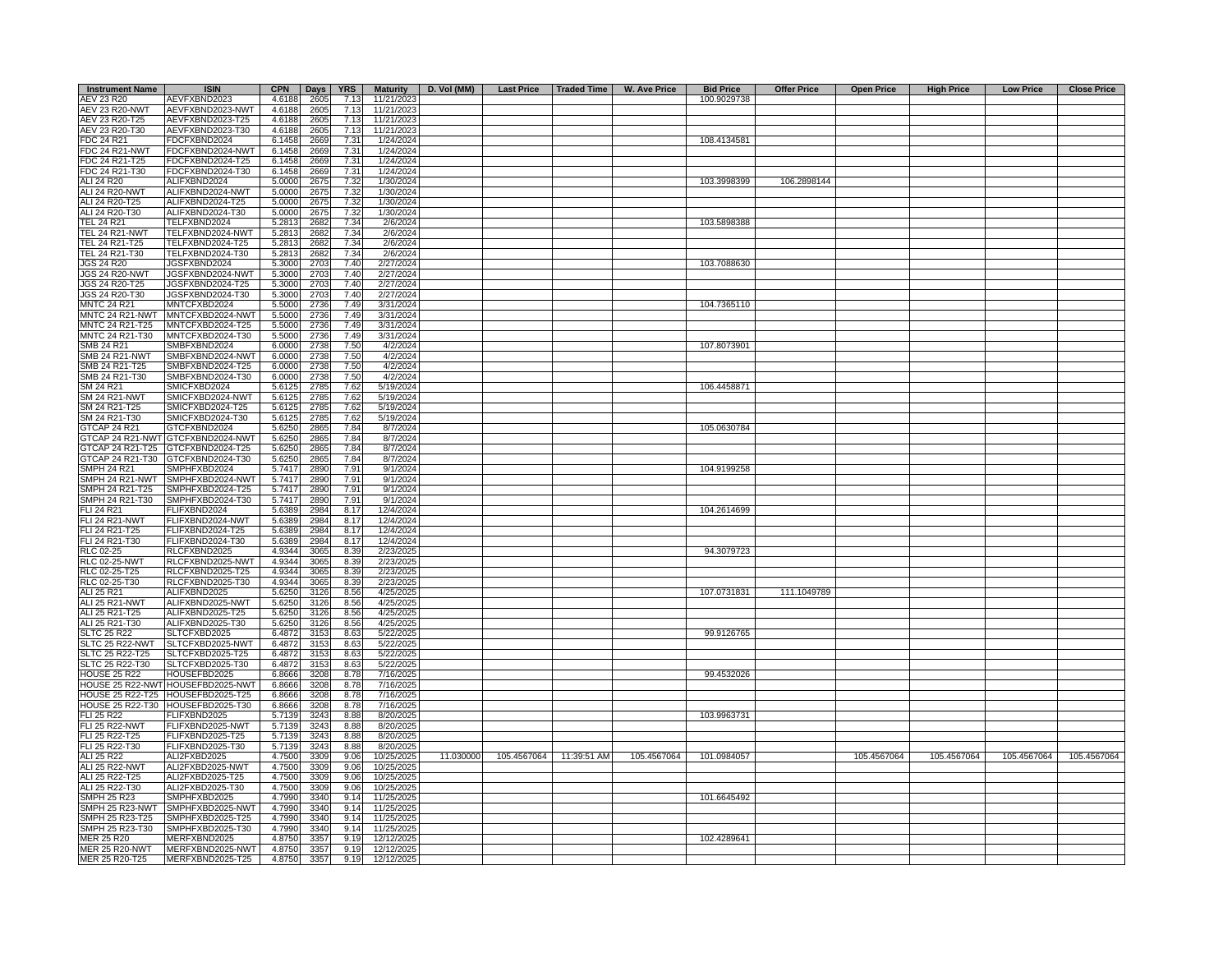| <b>Instrument Name</b> | <b>ISIN</b>                       | <b>CPN</b> | Days $ $ | YRS  |            | Maturity   D. Vol (MM) | Last Price   Traded Time |                         | W. Ave Price | <b>Bid Price</b> | <b>Offer Price</b> | <b>Open Price</b> | <b>High Price</b> | <b>Low Price</b> | <b>Close Price</b> |
|------------------------|-----------------------------------|------------|----------|------|------------|------------------------|--------------------------|-------------------------|--------------|------------------|--------------------|-------------------|-------------------|------------------|--------------------|
| AEV 23 R20             | AEVFXBND2023                      | 4.6188     | 2605     | 7.13 | 11/21/2023 |                        |                          |                         |              | 100.9029738      |                    |                   |                   |                  |                    |
| <b>AEV 23 R20-NWT</b>  | AEVFXBND2023-NWT                  | 4.6188     | 2605     | 7.13 | 11/21/2023 |                        |                          |                         |              |                  |                    |                   |                   |                  |                    |
| AEV 23 R20-T25         | AEVFXBND2023-T25                  | 4.6188     | 2605     | 7.13 | 11/21/2023 |                        |                          |                         |              |                  |                    |                   |                   |                  |                    |
| AEV 23 R20-T30         | AEVFXBND2023-T30                  | 4.6188     | 2605     | 7.13 | 11/21/2023 |                        |                          |                         |              |                  |                    |                   |                   |                  |                    |
| <b>FDC 24 R21</b>      | FDCFXBND2024                      | 6.1458     | 2669     | 7.31 | 1/24/2024  |                        |                          |                         |              | 108.4134581      |                    |                   |                   |                  |                    |
| <b>FDC 24 R21-NWT</b>  | FDCFXBND2024-NWT                  | 6.1458     | 2669     | 7.31 | 1/24/2024  |                        |                          |                         |              |                  |                    |                   |                   |                  |                    |
| FDC 24 R21-T25         | FDCFXBND2024-T25                  | 6.1458     | 2669     | 7.31 | 1/24/2024  |                        |                          |                         |              |                  |                    |                   |                   |                  |                    |
| FDC 24 R21-T30         | FDCFXBND2024-T30                  | 6.1458     | 2669     | 7.31 | 1/24/2024  |                        |                          |                         |              |                  |                    |                   |                   |                  |                    |
| ALI 24 R20             | ALIFXBND2024                      | 5.0000     | 2675     | 7.32 | 1/30/2024  |                        |                          |                         |              | 103.3998399      | 106.2898144        |                   |                   |                  |                    |
| <b>ALI 24 R20-NWT</b>  | ALIFXBND2024-NWT                  | 5.0000     | 2675     | 7.32 | 1/30/2024  |                        |                          |                         |              |                  |                    |                   |                   |                  |                    |
| ALI 24 R20-T25         | ALIFXBND2024-T25                  | 5.0000     | 2675     | 7.32 | 1/30/2024  |                        |                          |                         |              |                  |                    |                   |                   |                  |                    |
| ALI 24 R20-T30         | ALIFXBND2024-T30                  | 5.0000     | 2675     | 7.32 | 1/30/2024  |                        |                          |                         |              |                  |                    |                   |                   |                  |                    |
| <b>TEL 24 R21</b>      | TELFXBND2024                      | 5.2813     | 2682     | 7.34 | 2/6/2024   |                        |                          |                         |              | 103.5898388      |                    |                   |                   |                  |                    |
| TEL 24 R21-NWT         | TELFXBND2024-NWT                  | 5.2813     |          | 7.34 | 2/6/2024   |                        |                          |                         |              |                  |                    |                   |                   |                  |                    |
|                        |                                   |            | 2682     |      |            |                        |                          |                         |              |                  |                    |                   |                   |                  |                    |
| TEL 24 R21-T25         | TELFXBND2024-T25                  | 5.2813     | 2682     | 7.34 | 2/6/2024   |                        |                          |                         |              |                  |                    |                   |                   |                  |                    |
| TEL 24 R21-T30         | TELFXBND2024-T30                  | 5.2813     | 2682     | 7.34 | 2/6/2024   |                        |                          |                         |              |                  |                    |                   |                   |                  |                    |
| <b>JGS 24 R20</b>      | JGSFXBND2024                      | 5.3000     | 2703     | 7.40 | 2/27/2024  |                        |                          |                         |              | 103.7088630      |                    |                   |                   |                  |                    |
| <b>JGS 24 R20-NWT</b>  | JGSFXBND2024-NWT                  | 5.3000     | 2703     | 7.40 | 2/27/2024  |                        |                          |                         |              |                  |                    |                   |                   |                  |                    |
| JGS 24 R20-T25         | JGSFXBND2024-T25                  | 5.3000     | 2703     | 7.40 | 2/27/2024  |                        |                          |                         |              |                  |                    |                   |                   |                  |                    |
| JGS 24 R20-T30         | JGSFXBND2024-T30                  | 5.3000     | 2703     | 7.40 | 2/27/2024  |                        |                          |                         |              |                  |                    |                   |                   |                  |                    |
| <b>MNTC 24 R21</b>     | MNTCFXBD2024                      | 5.5000     | 2736     | 7.49 | 3/31/2024  |                        |                          |                         |              | 104.7365110      |                    |                   |                   |                  |                    |
| MNTC 24 R21-NWT        | MNTCFXBD2024-NWT                  | 5.5000     | 2736     | 7.49 | 3/31/2024  |                        |                          |                         |              |                  |                    |                   |                   |                  |                    |
| MNTC 24 R21-T25        | MNTCFXBD2024-T25                  | 5.5000     | 2736     | 7.49 | 3/31/2024  |                        |                          |                         |              |                  |                    |                   |                   |                  |                    |
| MNTC 24 R21-T30        | MNTCFXBD2024-T30                  | 5.5000     | 2736     | 7.49 | 3/31/2024  |                        |                          |                         |              |                  |                    |                   |                   |                  |                    |
| <b>SMB 24 R21</b>      | SMBFXBND2024                      | 6.0000     | 2738     | 7.50 | 4/2/2024   |                        |                          |                         |              | 107.8073901      |                    |                   |                   |                  |                    |
| <b>SMB 24 R21-NWT</b>  | SMBFXBND2024-NWT                  | 6.0000     | 2738     | 7.50 | 4/2/2024   |                        |                          |                         |              |                  |                    |                   |                   |                  |                    |
| SMB 24 R21-T25         | SMBFXBND2024-T25                  | 6.0000     | 2738     | 7.50 | 4/2/2024   |                        |                          |                         |              |                  |                    |                   |                   |                  |                    |
| SMB 24 R21-T30         | SMBFXBND2024-T30                  | 6.0000     | 2738     | 7.50 | 4/2/2024   |                        |                          |                         |              |                  |                    |                   |                   |                  |                    |
| SM 24 R21              | SMICFXBD2024                      | 5.6125     | 2785     | 7.62 | 5/19/2024  |                        |                          |                         |              | 106.4458871      |                    |                   |                   |                  |                    |
| SM 24 R21-NWT          | SMICFXBD2024-NWT                  | 5.6125     | 2785     | 7.62 | 5/19/2024  |                        |                          |                         |              |                  |                    |                   |                   |                  |                    |
|                        |                                   |            |          |      |            |                        |                          |                         |              |                  |                    |                   |                   |                  |                    |
| SM 24 R21-T25          | SMICFXBD2024-T25                  | 5.6125     | 2785     | 7.62 | 5/19/2024  |                        |                          |                         |              |                  |                    |                   |                   |                  |                    |
| SM 24 R21-T30          | SMICFXBD2024-T30                  | 5.6125     | 2785     | 7.62 | 5/19/2024  |                        |                          |                         |              |                  |                    |                   |                   |                  |                    |
| GTCAP 24 R21           | GTCFXBND2024                      | 5.6250     | 2865     | 7.84 | 8/7/2024   |                        |                          |                         |              | 105.0630784      |                    |                   |                   |                  |                    |
|                        | GTCAP 24 R21-NWT GTCFXBND2024-NWT | 5.6250     | 2865     | 7.84 | 8/7/2024   |                        |                          |                         |              |                  |                    |                   |                   |                  |                    |
|                        | GTCAP 24 R21-T25 GTCFXBND2024-T25 | 5.6250     | 2865     | 7.84 | 8/7/2024   |                        |                          |                         |              |                  |                    |                   |                   |                  |                    |
|                        | GTCAP 24 R21-T30 GTCFXBND2024-T30 | 5.6250     | 2865     | 7.84 | 8/7/2024   |                        |                          |                         |              |                  |                    |                   |                   |                  |                    |
| <b>SMPH 24 R21</b>     | SMPHFXBD2024                      | 5.7417     | 2890     | 7.91 | 9/1/2024   |                        |                          |                         |              | 104.9199258      |                    |                   |                   |                  |                    |
|                        | SMPH 24 R21-NWT SMPHFXBD2024-NWT  | 5.7417     | 2890     | 7.91 | 9/1/2024   |                        |                          |                         |              |                  |                    |                   |                   |                  |                    |
| SMPH 24 R21-T25        | SMPHFXBD2024-T25                  | 5.7417     | 2890     | 7.91 | 9/1/2024   |                        |                          |                         |              |                  |                    |                   |                   |                  |                    |
| SMPH 24 R21-T30        | SMPHFXBD2024-T30                  | 5.7417     | 2890     | 7.91 | 9/1/2024   |                        |                          |                         |              |                  |                    |                   |                   |                  |                    |
| <b>FLI 24 R21</b>      | FLIFXBND2024                      | 5.6389     | 2984     | 8.17 | 12/4/2024  |                        |                          |                         |              | 104.2614699      |                    |                   |                   |                  |                    |
| FLI 24 R21-NWT         | FLIFXBND2024-NWT                  | 5.6389     | 2984     | 8.17 | 12/4/2024  |                        |                          |                         |              |                  |                    |                   |                   |                  |                    |
| FLI 24 R21-T25         | FLIFXBND2024-T25                  | 5.6389     | 2984     | 8.17 | 12/4/2024  |                        |                          |                         |              |                  |                    |                   |                   |                  |                    |
| FLI 24 R21-T30         | FLIFXBND2024-T30                  | 5.638      | 2984     | 8.17 | 12/4/2024  |                        |                          |                         |              |                  |                    |                   |                   |                  |                    |
| <b>RLC 02-25</b>       | RLCFXBND2025                      | 4.9344     | 3065     | 8.39 | 2/23/2025  |                        |                          |                         |              | 94.3079723       |                    |                   |                   |                  |                    |
| <b>RLC 02-25-NWT</b>   | RLCFXBND2025-NWT                  | 4.9344     | 3065     | 8.39 | 2/23/2025  |                        |                          |                         |              |                  |                    |                   |                   |                  |                    |
| RLC 02-25-T25          | RLCFXBND2025-T25                  | 4.9344     | 3065     | 8.39 | 2/23/2025  |                        |                          |                         |              |                  |                    |                   |                   |                  |                    |
| RLC 02-25-T30          | RLCFXBND2025-T30                  | 4.9344     |          | 8.39 |            |                        |                          |                         |              |                  |                    |                   |                   |                  |                    |
|                        |                                   |            | 3065     | 8.56 | 2/23/2025  |                        |                          |                         |              | 107.0731831      | 111.1049789        |                   |                   |                  |                    |
| ALI 25 R21             | ALIFXBND2025                      | 5.6250     | 3126     |      | 4/25/2025  |                        |                          |                         |              |                  |                    |                   |                   |                  |                    |
| <b>ALI 25 R21-NWT</b>  | ALIFXBND2025-NWT                  | 5.6250     | 3126     | 8.56 | 4/25/2025  |                        |                          |                         |              |                  |                    |                   |                   |                  |                    |
| ALI 25 R21-T25         | ALIFXBND2025-T25                  | 5.6250     | 3126     | 8.56 | 4/25/2025  |                        |                          |                         |              |                  |                    |                   |                   |                  |                    |
| ALI 25 R21-T30         | ALIFXBND2025-T30                  | 5.6250     | 3126     | 8.56 | 4/25/2025  |                        |                          |                         |              |                  |                    |                   |                   |                  |                    |
| <b>SLTC 25 R22</b>     | SLTCFXBD2025                      | 6.4872     | 3153     | 8.63 | 5/22/2025  |                        |                          |                         |              | 99.9126765       |                    |                   |                   |                  |                    |
| SLTC 25 R22-NWT        | SLTCFXBD2025-NWT                  | 6.4872     | 3153     | 8.63 | 5/22/2025  |                        |                          |                         |              |                  |                    |                   |                   |                  |                    |
| SLTC 25 R22-T25        | SLTCFXBD2025-T25                  | 6.4872     | 3153     | 8.63 | 5/22/2025  |                        |                          |                         |              |                  |                    |                   |                   |                  |                    |
| SLTC 25 R22-T30        | SLTCFXBD2025-T30                  | 6.4872     | 3153     | 8.63 | 5/22/2025  |                        |                          |                         |              |                  |                    |                   |                   |                  |                    |
| <b>HOUSE 25 R22</b>    | HOUSEFBD2025                      | 6.8666     | 3208     | 8.78 | 7/16/2025  |                        |                          |                         |              | 99.4532026       |                    |                   |                   |                  |                    |
|                        | HOUSE 25 R22-NWT HOUSEFBD2025-NWT | 6.8666     | 3208     | 8.78 | 7/16/2025  |                        |                          |                         |              |                  |                    |                   |                   |                  |                    |
|                        | HOUSE 25 R22-T25 HOUSEFBD2025-T25 | 6.8666     | 3208     | 8.78 | 7/16/2025  |                        |                          |                         |              |                  |                    |                   |                   |                  |                    |
|                        | HOUSE 25 R22-T30 HOUSEFBD2025-T30 | 6.8666     | 3208     | 8.78 | 7/16/2025  |                        |                          |                         |              |                  |                    |                   |                   |                  |                    |
| FLI 25 R22             | FLIFXBND2025                      | 5.7139     | 3243     | 8.88 | 8/20/2025  |                        |                          |                         |              | 103.9963731      |                    |                   |                   |                  |                    |
| <b>FLI 25 R22-NWT</b>  | FLIFXBND2025-NWT                  | 5.7139     | 3243     | 8.88 | 8/20/2025  |                        |                          |                         |              |                  |                    |                   |                   |                  |                    |
| FLI 25 R22-T25         | FLIFXBND2025-T25                  | 5.7139     | 3243     | 8.88 | 8/20/2025  |                        |                          |                         |              |                  |                    |                   |                   |                  |                    |
| FLI 25 R22-T30         | FLIFXBND2025-T30                  | 5.7139     | 3243     | 8.88 | 8/20/2025  |                        |                          |                         |              |                  |                    |                   |                   |                  |                    |
| ALI 25 R22             | ALI2FXBD2025                      | 4.7500     | 3309     | 9.06 | 10/25/2025 | 11.030000              |                          | 105.4567064 11:39:51 AM | 105.4567064  | 101.0984057      |                    | 105.4567064       | 105.4567064       | 105.4567064      | 105.4567064        |
| <b>ALI 25 R22-NWT</b>  | ALI2FXBD2025-NWT                  | 4.7500     | 3309     | 9.06 | 10/25/2025 |                        |                          |                         |              |                  |                    |                   |                   |                  |                    |
|                        |                                   |            |          | 9.06 |            |                        |                          |                         |              |                  |                    |                   |                   |                  |                    |
| ALI 25 R22-T25         | ALI2FXBD2025-T25                  | 4.7500     | 3309     |      | 10/25/2025 |                        |                          |                         |              |                  |                    |                   |                   |                  |                    |
| ALI 25 R22-T30         | ALI2FXBD2025-T30                  | 4.7500     | 3309     | 9.06 | 10/25/2025 |                        |                          |                         |              |                  |                    |                   |                   |                  |                    |
| <b>SMPH 25 R23</b>     | SMPHFXBD2025                      | 4.7990     | 3340     | 9.14 | 11/25/2025 |                        |                          |                         |              | 101.6645492      |                    |                   |                   |                  |                    |
|                        | SMPH 25 R23-NWT SMPHFXBD2025-NWT  | 4.7990     | 3340     | 9.14 | 11/25/2025 |                        |                          |                         |              |                  |                    |                   |                   |                  |                    |
| SMPH 25 R23-T25        | SMPHFXBD2025-T25                  | 4.7990     | 3340     | 9.14 | 11/25/2025 |                        |                          |                         |              |                  |                    |                   |                   |                  |                    |
| SMPH 25 R23-T30        | SMPHFXBD2025-T30                  | 4.7990     | 3340     | 9.14 | 11/25/2025 |                        |                          |                         |              |                  |                    |                   |                   |                  |                    |
| <b>MER 25 R20</b>      | MERFXBND2025                      | 4.8750     | 3357     | 9.19 | 12/12/2025 |                        |                          |                         |              | 102.4289641      |                    |                   |                   |                  |                    |
| <b>MER 25 R20-NWT</b>  | MERFXBND2025-NWT                  | 4.8750     | 3357     | 9.19 | 12/12/2025 |                        |                          |                         |              |                  |                    |                   |                   |                  |                    |
| MER 25 R20-T25         | MERFXBND2025-T25                  | 4.8750     | 3357     | 9.19 | 12/12/2025 |                        |                          |                         |              |                  |                    |                   |                   |                  |                    |